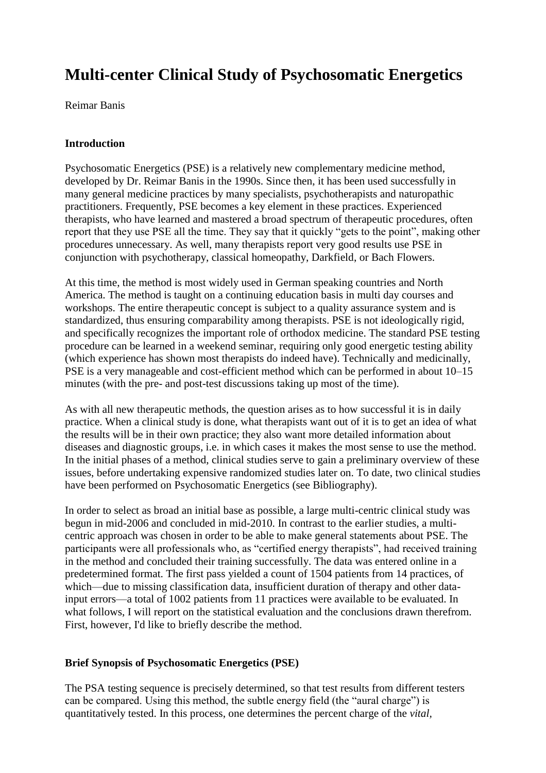# **Multi-center Clinical Study of Psychosomatic Energetics**

Reimar Banis

### **Introduction**

Psychosomatic Energetics (PSE) is a relatively new complementary medicine method, developed by Dr. Reimar Banis in the 1990s. Since then, it has been used successfully in many general medicine practices by many specialists, psychotherapists and naturopathic practitioners. Frequently, PSE becomes a key element in these practices. Experienced therapists, who have learned and mastered a broad spectrum of therapeutic procedures, often report that they use PSE all the time. They say that it quickly "gets to the point", making other procedures unnecessary. As well, many therapists report very good results use PSE in conjunction with psychotherapy, classical homeopathy, Darkfield, or Bach Flowers.

At this time, the method is most widely used in German speaking countries and North America. The method is taught on a continuing education basis in multi day courses and workshops. The entire therapeutic concept is subject to a quality assurance system and is standardized, thus ensuring comparability among therapists. PSE is not ideologically rigid, and specifically recognizes the important role of orthodox medicine. The standard PSE testing procedure can be learned in a weekend seminar, requiring only good energetic testing ability (which experience has shown most therapists do indeed have). Technically and medicinally, PSE is a very manageable and cost-efficient method which can be performed in about 10–15 minutes (with the pre- and post-test discussions taking up most of the time).

As with all new therapeutic methods, the question arises as to how successful it is in daily practice. When a clinical study is done, what therapists want out of it is to get an idea of what the results will be in their own practice; they also want more detailed information about diseases and diagnostic groups, i.e. in which cases it makes the most sense to use the method. In the initial phases of a method, clinical studies serve to gain a preliminary overview of these issues, before undertaking expensive randomized studies later on. To date, two clinical studies have been performed on Psychosomatic Energetics (see Bibliography).

In order to select as broad an initial base as possible, a large multi-centric clinical study was begun in mid-2006 and concluded in mid-2010. In contrast to the earlier studies, a multicentric approach was chosen in order to be able to make general statements about PSE. The participants were all professionals who, as "certified energy therapists", had received training in the method and concluded their training successfully. The data was entered online in a predetermined format. The first pass yielded a count of 1504 patients from 14 practices, of which—due to missing classification data, insufficient duration of therapy and other datainput errors—a total of 1002 patients from 11 practices were available to be evaluated. In what follows, I will report on the statistical evaluation and the conclusions drawn therefrom. First, however, I'd like to briefly describe the method.

### **Brief Synopsis of Psychosomatic Energetics (PSE)**

The PSA testing sequence is precisely determined, so that test results from different testers can be compared. Using this method, the subtle energy field (the "aural charge") is quantitatively tested. In this process, one determines the percent charge of the *vital,*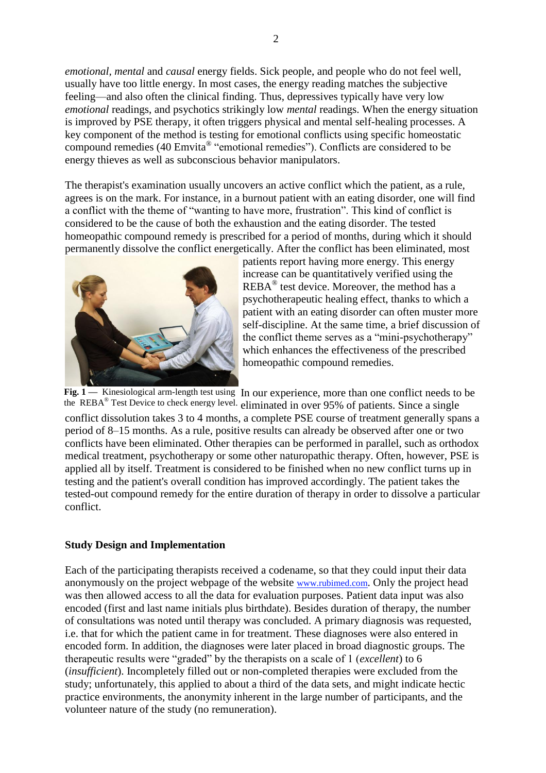*emotional, mental* and *causal* energy fields. Sick people, and people who do not feel well, usually have too little energy. In most cases, the energy reading matches the subjective feeling—and also often the clinical finding. Thus, depressives typically have very low *emotional* readings, and psychotics strikingly low *mental* readings. When the energy situation is improved by PSE therapy, it often triggers physical and mental self-healing processes. A key component of the method is testing for emotional conflicts using specific homeostatic compound remedies (40 Emvita® "emotional remedies"). Conflicts are considered to be energy thieves as well as subconscious behavior manipulators.

The therapist's examination usually uncovers an active conflict which the patient, as a rule, agrees is on the mark. For instance, in a burnout patient with an eating disorder, one will find a conflict with the theme of "wanting to have more, frustration". This kind of conflict is considered to be the cause of both the exhaustion and the eating disorder. The tested homeopathic compound remedy is prescribed for a period of months, during which it should permanently dissolve the conflict energetically. After the conflict has been eliminated, most



patients report having more energy. This energy increase can be quantitatively verified using the  $REBA^{\circledast}$  test device. Moreover, the method has a psychotherapeutic healing effect, thanks to which a patient with an eating disorder can often muster more self-discipline. At the same time, a brief discussion of the conflict theme serves as a "mini-psychotherapy" which enhances the effectiveness of the prescribed homeopathic compound remedies.

Fig. 1 — Kinesiological arm-length test using In our experience, more than one conflict needs to be the REBA® Test Device to check energy level. eliminated in over 95% of patients. Since a single conflict dissolution takes 3 to 4 months, a complete PSE course of treatment generally spans a period of 8–15 months. As a rule, positive results can already be observed after one or two conflicts have been eliminated. Other therapies can be performed in parallel, such as orthodox medical treatment, psychotherapy or some other naturopathic therapy. Often, however, PSE is applied all by itself. Treatment is considered to be finished when no new conflict turns up in testing and the patient's overall condition has improved accordingly. The patient takes the tested-out compound remedy for the entire duration of therapy in order to dissolve a particular conflict.

### **Study Design and Implementation**

Each of the participating therapists received a codename, so that they could input their data anonymously on the project webpage of the website www.rubimed.com. Only the project head was then allowed access to all the data for evaluation purposes. Patient data input was also encoded (first and last name initials plus birthdate). Besides duration of therapy, the number of consultations was noted until therapy was concluded. A primary diagnosis was requested, i.e. that for which the patient came in for treatment. These diagnoses were also entered in encoded form. In addition, the diagnoses were later placed in broad diagnostic groups. The therapeutic results were "graded" by the therapists on a scale of 1 (*excellent*) to 6 (*insufficient*). Incompletely filled out or non-completed therapies were excluded from the study; unfortunately, this applied to about a third of the data sets, and might indicate hectic practice environments, the anonymity inherent in the large number of participants, and the volunteer nature of the study (no remuneration).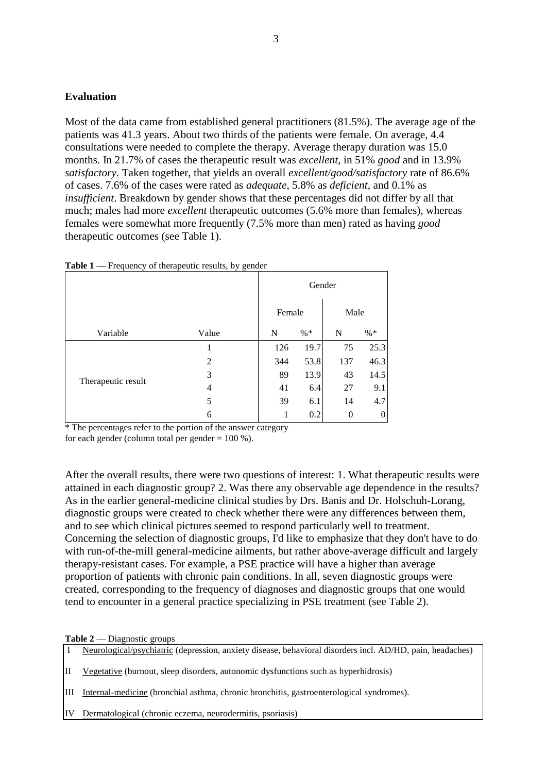### **Evaluation**

Most of the data came from established general practitioners (81.5%). The average age of the patients was 41.3 years. About two thirds of the patients were female. On average, 4.4 consultations were needed to complete the therapy. Average therapy duration was 15.0 months. In 21.7% of cases the therapeutic result was *excellent*, in 51% *good* and in 13.9% *satisfactory*. Taken together, that yields an overall *excellent/good/satisfactory* rate of 86.6% of cases. 7.6% of the cases were rated as *adequate*, 5.8% as *deficient*, and 0.1% as *insufficient*. Breakdown by gender shows that these percentages did not differ by all that much; males had more *excellent* therapeutic outcomes (5.6% more than females), whereas females were somewhat more frequently (7.5% more than men) rated as having *good* therapeutic outcomes (see Table 1).

| TANIC T<br>I requeste y or incrupcing results, by genuer |       |        |        |          |              |  |  |  |  |
|----------------------------------------------------------|-------|--------|--------|----------|--------------|--|--|--|--|
|                                                          |       |        | Gender |          |              |  |  |  |  |
|                                                          |       | Female |        | Male     |              |  |  |  |  |
| Variable                                                 | Value | N      | $% *$  | N        | $% *$        |  |  |  |  |
| Therapeutic result                                       |       | 126    | 19.7   | 75       | 25.3         |  |  |  |  |
|                                                          | 2     | 344    | 53.8   | 137      | 46.3         |  |  |  |  |
|                                                          | 3     | 89     | 13.9   | 43       | 14.5         |  |  |  |  |
|                                                          | 4     | 41     | 6.4    | 27       | 9.1          |  |  |  |  |
|                                                          | 5     | 39     | 6.1    | 14       | 4.7          |  |  |  |  |
|                                                          | 6     | 1      | 0.2    | $\theta$ | $\mathbf{0}$ |  |  |  |  |

**Table 1** — Frequency of therapeutic results, by gender

\* The percentages refer to the portion of the answer category

for each gender (column total per gender  $= 100$  %).

After the overall results, there were two questions of interest: 1. What therapeutic results were attained in each diagnostic group? 2. Was there any observable age dependence in the results? As in the earlier general-medicine clinical studies by Drs. Banis and Dr. Holschuh-Lorang, diagnostic groups were created to check whether there were any differences between them, and to see which clinical pictures seemed to respond particularly well to treatment. Concerning the selection of diagnostic groups, I'd like to emphasize that they don't have to do with run-of-the-mill general-medicine ailments, but rather above-average difficult and largely therapy-resistant cases. For example, a PSE practice will have a higher than average proportion of patients with chronic pain conditions. In all, seven diagnostic groups were created, corresponding to the frequency of diagnoses and diagnostic groups that one would tend to encounter in a general practice specializing in PSE treatment (see Table 2).

#### **Table 2** — Diagnostic groups

I Neurological/psychiatric (depression, anxiety disease, behavioral disorders incl. AD/HD, pain, headaches)

- II Vegetative (burnout, sleep disorders, autonomic dysfunctions such as hyperhidrosis)
- III Internal-medicine (bronchial asthma, chronic bronchitis, gastroenterological syndromes).
- IV Dermatological (chronic eczema, neurodermitis, psoriasis)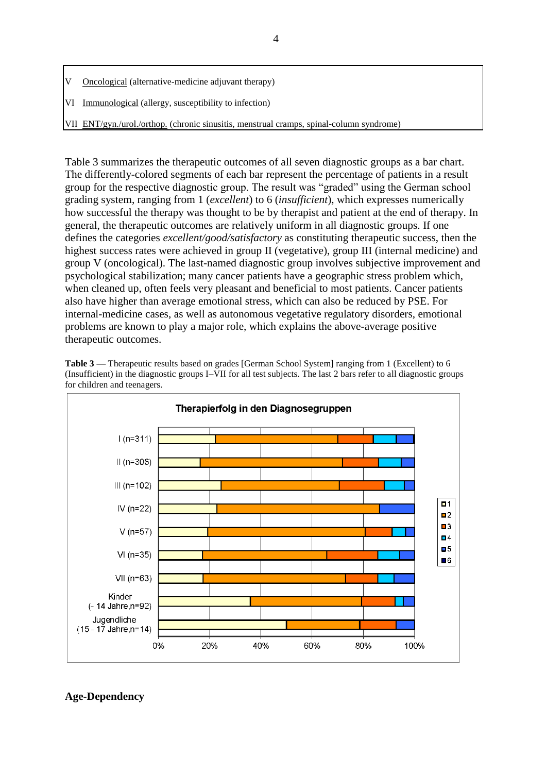- Oncological (alternative-medicine adjuvant therapy)
- VI Immunological (allergy, susceptibility to infection)
- VII ENT/gyn./urol./orthop. (chronic sinusitis, menstrual cramps, spinal-column syndrome)

Table 3 summarizes the therapeutic outcomes of all seven diagnostic groups as a bar chart. The differently-colored segments of each bar represent the percentage of patients in a result group for the respective diagnostic group. The result was "graded" using the German school grading system, ranging from 1 (*excellent*) to 6 (*insufficient*), which expresses numerically how successful the therapy was thought to be by therapist and patient at the end of therapy. In general, the therapeutic outcomes are relatively uniform in all diagnostic groups. If one defines the categories *excellent/good/satisfactory* as constituting therapeutic success, then the highest success rates were achieved in group II (vegetative), group III (internal medicine) and group V (oncological). The last-named diagnostic group involves subjective improvement and psychological stabilization; many cancer patients have a geographic stress problem which, when cleaned up, often feels very pleasant and beneficial to most patients. Cancer patients also have higher than average emotional stress, which can also be reduced by PSE. For internal-medicine cases, as well as autonomous vegetative regulatory disorders, emotional problems are known to play a major role, which explains the above-average positive therapeutic outcomes.



**Table 3 —** Therapeutic results based on grades [German School System] ranging from 1 (Excellent) to 6 (Insufficient) in the diagnostic groups I–VII for all test subjects. The last 2 bars refer to all diagnostic groups for children and teenagers.

## **Age-Dependency**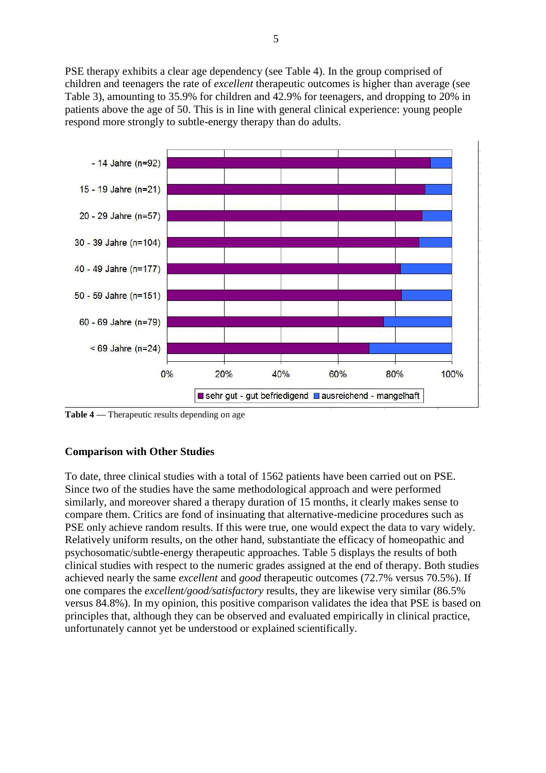PSE therapy exhibits a clear age dependency (see Table 4). In the group comprised of children and teenagers the rate of *excellent* therapeutic outcomes is higher than average (see Table 3), amounting to 35.9% for children and 42.9% for teenagers, and dropping to 20% in patients above the age of 50. This is in line with general clinical experience: young people respond more strongly to subtle-energy therapy than do adults.



**Table 4 —** Therapeutic results depending on age

### **Comparison with Other Studies**

To date, three clinical studies with a total of 1562 patients have been carried out on PSE. Since two of the studies have the same methodological approach and were performed similarly, and moreover shared a therapy duration of 15 months, it clearly makes sense to compare them. Critics are fond of insinuating that alternative-medicine procedures such as PSE only achieve random results. If this were true, one would expect the data to vary widely. Relatively uniform results, on the other hand, substantiate the efficacy of homeopathic and psychosomatic/subtle-energy therapeutic approaches. Table 5 displays the results of both clinical studies with respect to the numeric grades assigned at the end of therapy. Both studies achieved nearly the same *excellent* and *good* therapeutic outcomes (72.7% versus 70.5%). If one compares the *excellent/good/satisfactory* results, they are likewise very similar (86.5% versus 84.8%). In my opinion, this positive comparison validates the idea that PSE is based on principles that, although they can be observed and evaluated empirically in clinical practice, unfortunately cannot yet be understood or explained scientifically.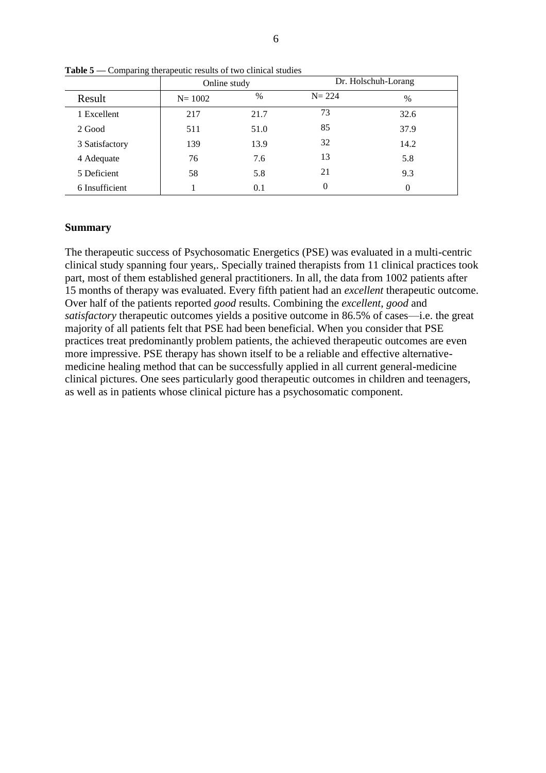|                | Online study |      |           | Dr. Holschuh-Lorang |
|----------------|--------------|------|-----------|---------------------|
| Result         | $N = 1002$   | $\%$ | $N = 224$ | $\frac{0}{0}$       |
| 1 Excellent    | 217          | 21.7 | 73        | 32.6                |
| 2 Good         | 511          | 51.0 | 85        | 37.9                |
| 3 Satisfactory | 139          | 13.9 | 32        | 14.2                |
| 4 Adequate     | 76           | 7.6  | 13        | 5.8                 |
| 5 Deficient    | 58           | 5.8  | 21        | 9.3                 |
| 6 Insufficient |              | 0.1  | $\theta$  | $\Omega$            |

**Table 5 —** Comparing therapeutic results of two clinical studies

### **Summary**

The therapeutic success of Psychosomatic Energetics (PSE) was evaluated in a multi-centric clinical study spanning four years,. Specially trained therapists from 11 clinical practices took part, most of them established general practitioners. In all, the data from 1002 patients after 15 months of therapy was evaluated. Every fifth patient had an *excellent* therapeutic outcome. Over half of the patients reported *good* results. Combining the *excellent*, *good* and *satisfactory* therapeutic outcomes yields a positive outcome in 86.5% of cases—i.e. the great majority of all patients felt that PSE had been beneficial. When you consider that PSE practices treat predominantly problem patients, the achieved therapeutic outcomes are even more impressive. PSE therapy has shown itself to be a reliable and effective alternativemedicine healing method that can be successfully applied in all current general-medicine clinical pictures. One sees particularly good therapeutic outcomes in children and teenagers, as well as in patients whose clinical picture has a psychosomatic component.